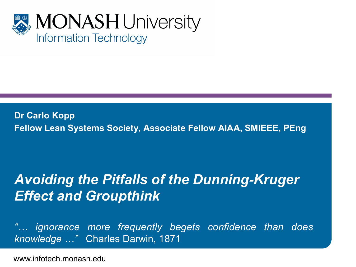

**Dr Carlo Kopp Fellow Lean Systems Society, Associate Fellow AIAA, SMIEEE, PEng**

#### *Avoiding the Pitfalls of the Dunning-Kruger Effect and Groupthink*

*"… ignorance more frequently begets confidence than does knowledge …"* Charles Darwin, 1871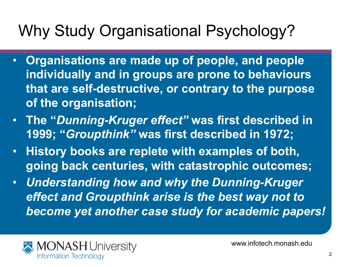# Why Study Organisational Psychology?

- **Organisations are made up of people, and people individually and in groups are prone to behaviours that are self-destructive, or contrary to the purpose of the organisation;**
- **The "***Dunning-Kruger effect"* **was first described in 1999; "***Groupthink"* **was first described in 1972;**
- **History books are replete with examples of both, going back centuries, with catastrophic outcomes;**
- *Understanding how and why the Dunning-Kruger effect and Groupthink arise is the best way not to become yet another case study for academic papers!*

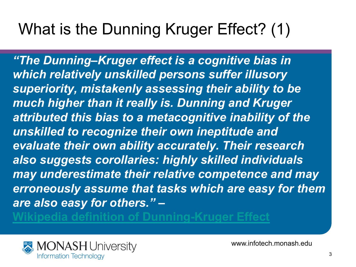# What is the Dunning Kruger Effect? (1)

*"The Dunning–Kruger effect is a cognitive bias in which relatively unskilled persons suffer illusory superiority, mistakenly assessing their ability to be much higher than it really is. Dunning and Kruger attributed this bias to a metacognitive inability of the unskilled to recognize their own ineptitude and evaluate their own ability accurately. Their research also suggests corollaries: highly skilled individuals may underestimate their relative competence and may erroneously assume that tasks which are easy for them are also easy for others."* **–** 

on of Dunning-Kruger Effe

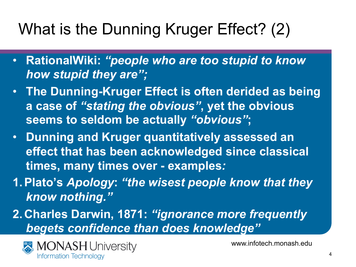# What is the Dunning Kruger Effect? (2)

- **RationalWiki:** *"people who are too stupid to know how stupid they are";*
- **The Dunning-Kruger Effect is often derided as being a case of** *"stating the obvious"***, yet the obvious seems to seldom be actually** *"obvious"***;**
- **Dunning and Kruger quantitatively assessed an effect that has been acknowledged since classical times, many times over - examples***:*
- **1.Plato's** *Apology***:** *"the wisest people know that they know nothing."*
- **2. Charles Darwin, 1871:** *"ignorance more frequently begets confidence than does knowledge"*

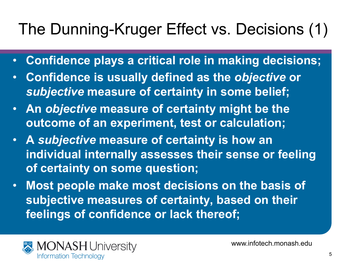# The Dunning-Kruger Effect vs. Decisions (1)

- **Confidence plays a critical role in making decisions;**
- **Confidence is usually defined as the** *objective* **or**  *subjective* **measure of certainty in some belief;**
- **An** *objective* **measure of certainty might be the outcome of an experiment, test or calculation;**
- **A** *subjective* **measure of certainty is how an individual internally assesses their sense or feeling of certainty on some question;**
- **Most people make most decisions on the basis of subjective measures of certainty, based on their feelings of confidence or lack thereof;**

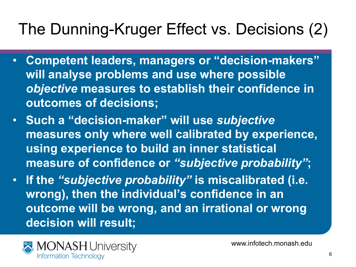# The Dunning-Kruger Effect vs. Decisions (2)

- **Competent leaders, managers or "decision-makers" will analyse problems and use where possible**  *objective* **measures to establish their confidence in outcomes of decisions;**
- **Such a "decision-maker" will use** *subjective* **measures only where well calibrated by experience, using experience to build an inner statistical measure of confidence or** *"subjective probability"***;**
- **If the** *"subjective probability"* **is miscalibrated (i.e. wrong), then the individual's confidence in an outcome will be wrong, and an irrational or wrong decision will result;**

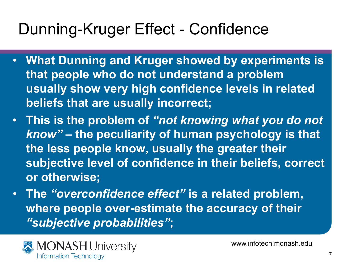#### Dunning-Kruger Effect - Confidence

- **What Dunning and Kruger showed by experiments is that people who do not understand a problem usually show very high confidence levels in related beliefs that are usually incorrect;**
- **This is the problem of** *"not knowing what you do not know"* **– the peculiarity of human psychology is that the less people know, usually the greater their subjective level of confidence in their beliefs, correct or otherwise;**
- **The** *"overconfidence effect"* **is a related problem, where people over-estimate the accuracy of their**  *"subjective probabilities"***;**

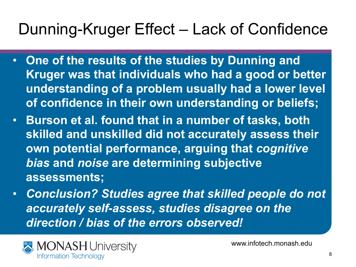#### Dunning-Kruger Effect – Lack of Confidence

- **One of the results of the studies by Dunning and Kruger was that individuals who had a good or better understanding of a problem usually had a lower level of confidence in their own understanding or beliefs;**
- **Burson et al. found that in a number of tasks, both skilled and unskilled did not accurately assess their own potential performance, arguing that** *cognitive bias* **and** *noise* **are determining subjective assessments;**
- *Conclusion? Studies agree that skilled people do not accurately self-assess, studies disagree on the direction / bias of the errors observed!*

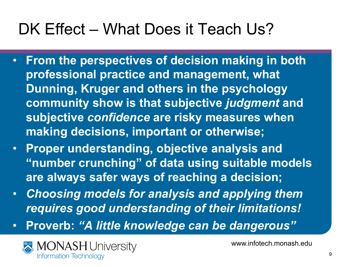# DK Effect – What Does it Teach Us?

- **From the perspectives of decision making in both professional practice and management, what Dunning, Kruger and others in the psychology community show is that subjective** *judgment* **and subjective** *confidence* **are risky measures when making decisions, important or otherwise;**
- **Proper understanding, objective analysis and "number crunching" of data using suitable models are always safer ways of reaching a decision;**
- *Choosing models for analysis and applying them requires good understanding of their limitations!*
- **Proverb:** *"A little knowledge can be dangerous"*

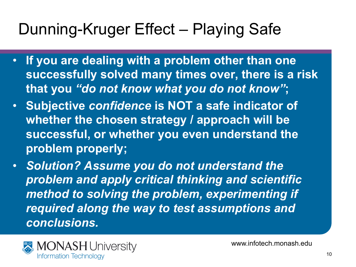### Dunning-Kruger Effect – Playing Safe

- **If you are dealing with a problem other than one successfully solved many times over, there is a risk that you** *"do not know what you do not know"***;**
- **Subjective** *confidence* **is NOT a safe indicator of whether the chosen strategy / approach will be successful, or whether you even understand the problem properly;**
- *Solution? Assume you do not understand the problem and apply critical thinking and scientific method to solving the problem, experimenting if required along the way to test assumptions and conclusions.*

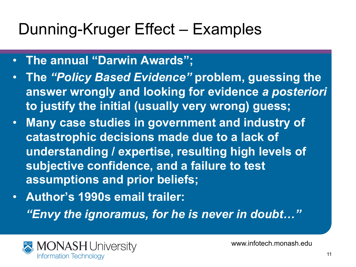#### Dunning-Kruger Effect – Examples

- **The annual "Darwin Awards";**
- **The** *"Policy Based Evidence"* **problem, guessing the answer wrongly and looking for evidence** *a posteriori*  **to justify the initial (usually very wrong) guess;**
- **Many case studies in government and industry of catastrophic decisions made due to a lack of understanding / expertise, resulting high levels of subjective confidence, and a failure to test assumptions and prior beliefs;**
- **Author's 1990s email trailer:**  *"Envy the ignoramus, for he is never in doubt…"*

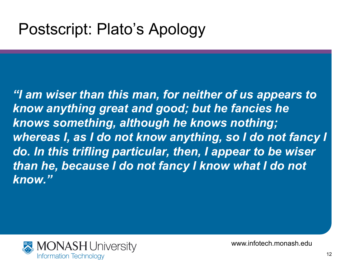#### Postscript: Plato's Apology

*"I am wiser than this man, for neither of us appears to know anything great and good; but he fancies he knows something, although he knows nothing; whereas I, as I do not know anything, so I do not fancy I do. In this trifling particular, then, I appear to be wiser than he, because I do not fancy I know what I do not know."* 

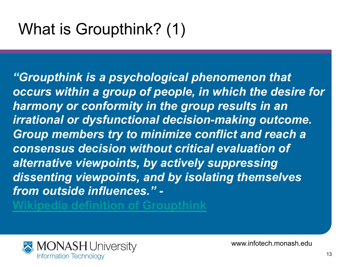*"Groupthink is a psychological phenomenon that occurs within a group of people, in which the desire for harmony or conformity in the group results in an irrational or dysfunctional decision-making outcome. Group members try to minimize conflict and reach a consensus decision without critical evaluation of alternative viewpoints, by actively suppressing dissenting viewpoints, and by isolating themselves from outside influences."* **-** 

**Wikipedia definition of Groupthink**

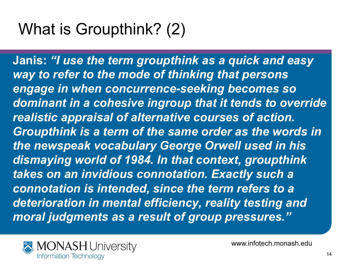# What is Groupthink? (2)

**Janis:** *"I use the term groupthink as a quick and easy way to refer to the mode of thinking that persons engage in when concurrence-seeking becomes so dominant in a cohesive ingroup that it tends to override realistic appraisal of alternative courses of action. Groupthink is a term of the same order as the words in the newspeak vocabulary George Orwell used in his dismaying world of 1984. In that context, groupthink takes on an invidious connotation. Exactly such a connotation is intended, since the term refers to a deterioration in mental efficiency, reality testing and moral judgments as a result of group pressures."* 

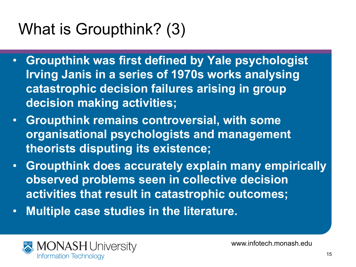# What is Groupthink? (3)

- **Groupthink was first defined by Yale psychologist Irving Janis in a series of 1970s works analysing catastrophic decision failures arising in group decision making activities;**
- **Groupthink remains controversial, with some organisational psychologists and management theorists disputing its existence;**
- **Groupthink does accurately explain many empirically observed problems seen in collective decision activities that result in catastrophic outcomes;**
- **Multiple case studies in the literature.**

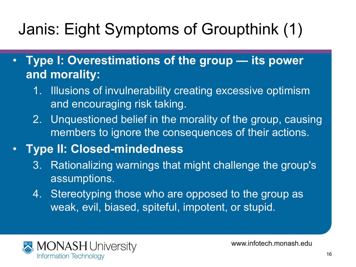# Janis: Eight Symptoms of Groupthink (1)

- **Type I: Overestimations of the group its power and morality:** 
	- 1. Illusions of invulnerability creating excessive optimism and encouraging risk taking.
	- 2. Unquestioned belief in the morality of the group, causing members to ignore the consequences of their actions.

#### • **Type II: Closed-mindedness**

- 3. Rationalizing warnings that might challenge the group's assumptions.
- 4. Stereotyping those who are opposed to the group as weak, evil, biased, spiteful, impotent, or stupid.

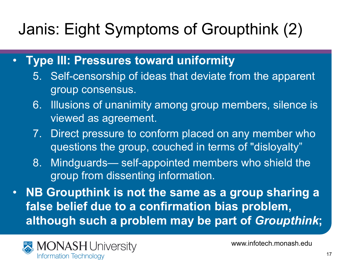# Janis: Eight Symptoms of Groupthink (2)

- **Type III: Pressures toward uniformity** 
	- 5. Self-censorship of ideas that deviate from the apparent group consensus.
	- 6. Illusions of unanimity among group members, silence is viewed as agreement.
	- 7. Direct pressure to conform placed on any member who questions the group, couched in terms of "disloyalty"
	- 8. Mindguards— self-appointed members who shield the group from dissenting information.
- **NB Groupthink is not the same as a group sharing a false belief due to a confirmation bias problem, although such a problem may be part of** *Groupthink***;**

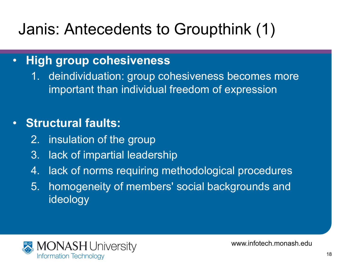# Janis: Antecedents to Groupthink (1)

#### • **High group cohesiveness**

1. deindividuation: group cohesiveness becomes more important than individual freedom of expression

#### • **Structural faults:**

- 2. insulation of the group
- 3. lack of impartial leadership
- 4. lack of norms requiring methodological procedures
- 5. homogeneity of members' social backgrounds and ideology

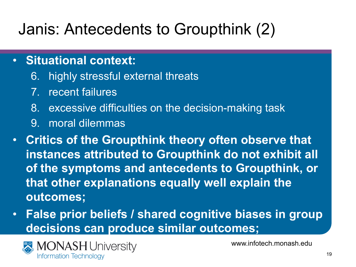# Janis: Antecedents to Groupthink (2)

- **Situational context:** 
	- 6. highly stressful external threats
	- 7. recent failures
	- 8. excessive difficulties on the decision-making task
	- 9. moral dilemmas
- **Critics of the Groupthink theory often observe that instances attributed to Groupthink do not exhibit all of the symptoms and antecedents to Groupthink, or that other explanations equally well explain the outcomes;**
- **False prior beliefs / shared cognitive biases in group decisions can produce similar outcomes;**

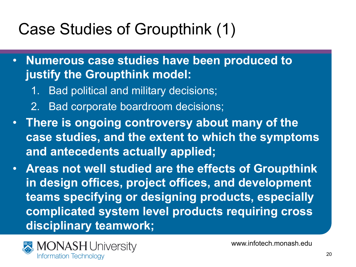# Case Studies of Groupthink (1)

- **Numerous case studies have been produced to justify the Groupthink model:** 
	- 1. Bad political and military decisions;
	- 2. Bad corporate boardroom decisions;
- **There is ongoing controversy about many of the case studies, and the extent to which the symptoms and antecedents actually applied;**
- **Areas not well studied are the effects of Groupthink in design offices, project offices, and development teams specifying or designing products, especially complicated system level products requiring cross disciplinary teamwork;**

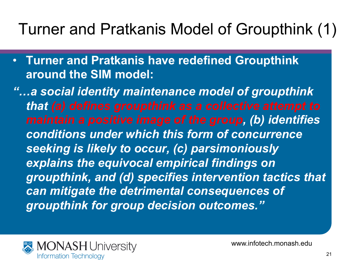#### Turner and Pratkanis Model of Groupthink (1)

- **Turner and Pratkanis have redefined Groupthink around the SIM model:**
- *"…a social identity maintenance model of groupthink that (a) defines groupthink as a collective attempt to maintain a positive image of the group, (b) identifies conditions under which this form of concurrence seeking is likely to occur, (c) parsimoniously explains the equivocal empirical findings on groupthink, and (d) specifies intervention tactics that can mitigate the detrimental consequences of groupthink for group decision outcomes."*

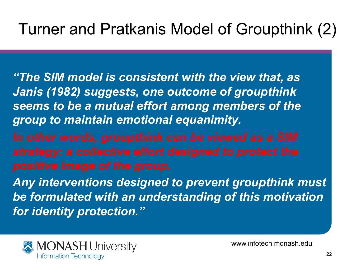#### Turner and Pratkanis Model of Groupthink (2)

- *"The SIM model is consistent with the view that, as Janis (1982) suggests, one outcome of groupthink seems to be a mutual effort among members of the group to maintain emotional equanimity.*
- 
- *Any interventions designed to prevent groupthink must be formulated with an understanding of this motivation for identity protection."*

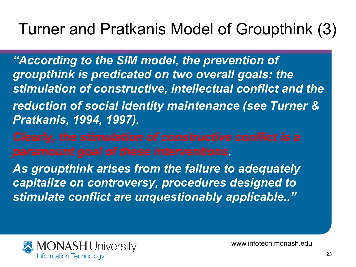#### Turner and Pratkanis Model of Groupthink (3)

- *"According to the SIM model, the prevention of groupthink is predicated on two overall goals: the stimulation of constructive, intellectual conflict and the reduction of social identity maintenance (see Turner & Pratkanis, 1994, 1997).*
- *paramount goal of these interventions.*
- *As groupthink arises from the failure to adequately capitalize on controversy, procedures designed to stimulate conflict are unquestionably applicable.."*

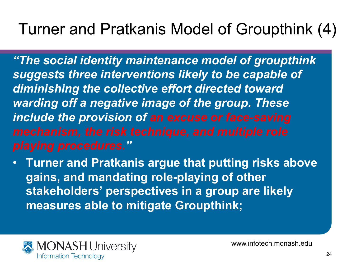#### Turner and Pratkanis Model of Groupthink (4)

*"The social identity maintenance model of groupthink suggests three interventions likely to be capable of diminishing the collective effort directed toward warding off a negative image of the group. These include the provision of an excuse or face-saving playing procedures."* 

• **Turner and Pratkanis argue that putting risks above gains, and mandating role-playing of other stakeholders' perspectives in a group are likely measures able to mitigate Groupthink;**

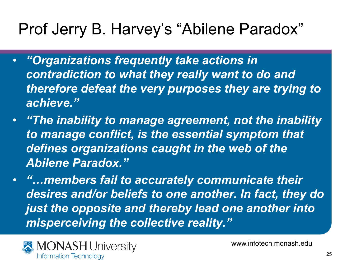#### Prof Jerry B. Harvey's "Abilene Paradox"

- *"Organizations frequently take actions in contradiction to what they really want to do and therefore defeat the very purposes they are trying to achieve."*
- *"The inability to manage agreement, not the inability to manage conflict, is the essential symptom that defines organizations caught in the web of the Abilene Paradox."*
- *"…members fail to accurately communicate their desires and/or beliefs to one another. In fact, they do just the opposite and thereby lead one another into misperceiving the collective reality."*

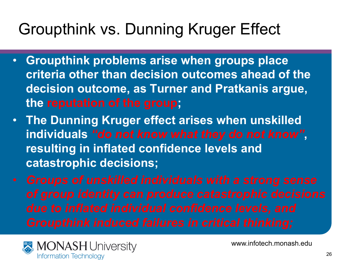# Groupthink vs. Dunning Kruger Effect

- **Groupthink problems arise when groups place criteria other than decision outcomes ahead of the decision outcome, as Turner and Pratkanis argue, the reputation of the group;**
- **The Dunning Kruger effect arises when unskilled individuals** *"do not know what they do not know"***, resulting in inflated confidence levels and catastrophic decisions;**
- 

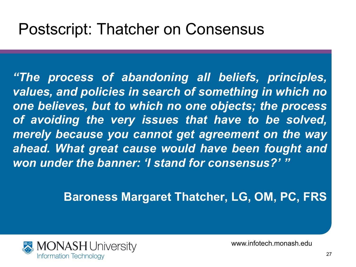#### Postscript: Thatcher on Consensus

*"The process of abandoning all beliefs, principles, values, and policies in search of something in which no one believes, but to which no one objects; the process of avoiding the very issues that have to be solved, merely because you cannot get agreement on the way ahead. What great cause would have been fought and won under the banner: 'I stand for consensus?' "* 

**Baroness Margaret Thatcher, LG, OM, PC, FRS**

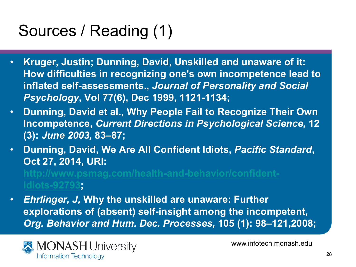# Sources / Reading (1)

- **Kruger, Justin; Dunning, David, Unskilled and unaware of it: How difficulties in recognizing one's own incompetence lead to inflated self-assessments.,** *Journal of Personality and Social Psychology***, Vol 77(6), Dec 1999, 1121-1134;**
- **Dunning, David et al., Why People Fail to Recognize Their Own Incompetence,** *Current Directions in Psychological Science,* **12 (3):** *June 2003,* **83–87;**
- **Dunning, David, We Are All Confident Idiots,** *Pacific Standard***, Oct 27, 2014, URI: http://www.psmag.com/health-and-behavior/confident-**

**idiots-92793;** 

• *Ehrlinger, J,* **Why the unskilled are unaware: Further explorations of (absent) self-insight among the incompetent,**  *Org. Behavior and Hum. Dec. Processes,* **105 (1): 98–121,2008;** 

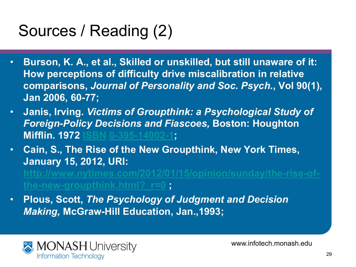# Sources / Reading (2)

- **Burson, K. A., et al., Skilled or unskilled, but still unaware of it: How perceptions of difficulty drive miscalibration in relative comparisons,** *Journal of Personality and Soc. Psych.***, Vol 90(1), Jan 2006, 60-77;**
- **Janis, Irving.** *Victims of Groupthink: a Psychological Study of Foreign-Policy Decisions and Fiascoes,* **Boston: Houghton Mifflin. 1972 IS**
- **Cain, S., The Rise of the New Groupthink, New York Times, January 15, 2012, URI: http://www.nytimes.com/2012/01/15/opinion/sunday/the-rise-ofthe-new-groupthink.html?\_r=0 ;**
- **Plous, Scott,** *The Psychology of Judgment and Decision Making,* **McGraw-Hill Education, Jan.,1993;**